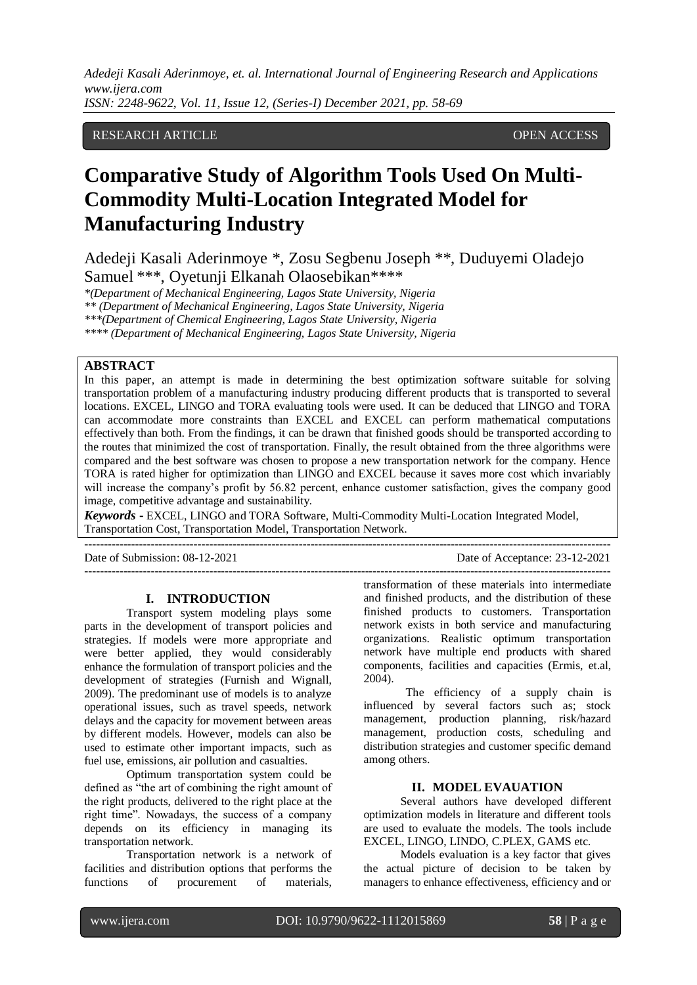RESEARCH ARTICLE OPEN ACCESS

# **Comparative Study of Algorithm Tools Used On Multi-Commodity Multi-Location Integrated Model for Manufacturing Industry**

Adedeji Kasali Aderinmoye \*, Zosu Segbenu Joseph \*\*, Duduyemi Oladejo Samuel \*\*\*, Oyetunji Elkanah Olaosebikan\*\*\*\*

*\*(Department of Mechanical Engineering, Lagos State University, Nigeria*

*\*\* (Department of Mechanical Engineering, Lagos State University, Nigeria*

*\*\*\*(Department of Chemical Engineering, Lagos State University, Nigeria*

*\*\*\*\* (Department of Mechanical Engineering, Lagos State University, Nigeria*

#### **ABSTRACT**

In this paper, an attempt is made in determining the best optimization software suitable for solving transportation problem of a manufacturing industry producing different products that is transported to several locations. EXCEL, LINGO and TORA evaluating tools were used. It can be deduced that LINGO and TORA can accommodate more constraints than EXCEL and EXCEL can perform mathematical computations effectively than both. From the findings, it can be drawn that finished goods should be transported according to the routes that minimized the cost of transportation. Finally, the result obtained from the three algorithms were compared and the best software was chosen to propose a new transportation network for the company. Hence TORA is rated higher for optimization than LINGO and EXCEL because it saves more cost which invariably will increase the company's profit by 56.82 percent, enhance customer satisfaction, gives the company good image, competitive advantage and sustainability.

*Keywords* **-** EXCEL, LINGO and TORA Software, Multi-Commodity Multi-Location Integrated Model, Transportation Cost, Transportation Model, Transportation Network.

---------------------------------------------------------------------------------------------------------------------------------------

 $-1-\frac{1}{2}$ 

Date of Submission: 08-12-2021 Date of Acceptance: 23-12-2021

#### **I. INTRODUCTION**

Transport system modeling plays some parts in the development of transport policies and strategies. If models were more appropriate and were better applied, they would considerably enhance the formulation of transport policies and the development of strategies (Furnish and Wignall, 2009). The predominant use of models is to analyze operational issues, such as travel speeds, network delays and the capacity for movement between areas by different models. However, models can also be used to estimate other important impacts, such as fuel use, emissions, air pollution and casualties.

Optimum transportation system could be defined as "the art of combining the right amount of the right products, delivered to the right place at the right time". Nowadays, the success of a company depends on its efficiency in managing its transportation network.

Transportation network is a network of facilities and distribution options that performs the functions of procurement of materials, transformation of these materials into intermediate and finished products, and the distribution of these finished products to customers. Transportation network exists in both service and manufacturing organizations. Realistic optimum transportation network have multiple end products with shared components, facilities and capacities (Ermis, et.al, 2004).

The efficiency of a supply chain is influenced by several factors such as; stock management, production planning, risk/hazard management, production costs, scheduling and distribution strategies and customer specific demand among others.

#### **II. MODEL EVAUATION**

Several authors have developed different optimization models in literature and different tools are used to evaluate the models. The tools include EXCEL, LINGO, LINDO, C.PLEX, GAMS etc.

Models evaluation is a key factor that gives the actual picture of decision to be taken by managers to enhance effectiveness, efficiency and or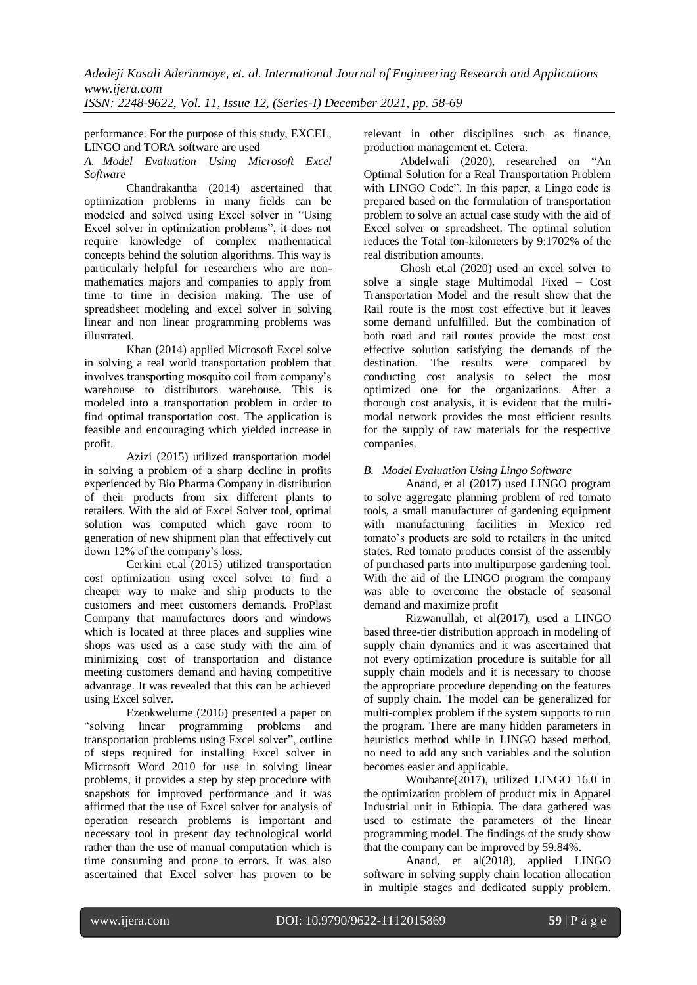performance. For the purpose of this study, EXCEL, LINGO and TORA software are used

*A. Model Evaluation Using Microsoft Excel Software* 

Chandrakantha (2014) ascertained that optimization problems in many fields can be modeled and solved using Excel solver in "Using Excel solver in optimization problems", it does not require knowledge of complex mathematical concepts behind the solution algorithms. This way is particularly helpful for researchers who are nonmathematics majors and companies to apply from time to time in decision making. The use of spreadsheet modeling and excel solver in solving linear and non linear programming problems was illustrated.

Khan (2014) applied Microsoft Excel solve in solving a real world transportation problem that involves transporting mosquito coil from company's warehouse to distributors warehouse. This is modeled into a transportation problem in order to find optimal transportation cost. The application is feasible and encouraging which yielded increase in profit.

Azizi (2015) utilized transportation model in solving a problem of a sharp decline in profits experienced by Bio Pharma Company in distribution of their products from six different plants to retailers. With the aid of Excel Solver tool, optimal solution was computed which gave room to generation of new shipment plan that effectively cut down 12% of the company's loss.

Cerkini et.al (2015) utilized transportation cost optimization using excel solver to find a cheaper way to make and ship products to the customers and meet customers demands. ProPlast Company that manufactures doors and windows which is located at three places and supplies wine shops was used as a case study with the aim of minimizing cost of transportation and distance meeting customers demand and having competitive advantage. It was revealed that this can be achieved using Excel solver.

Ezeokwelume (2016) presented a paper on "solving linear programming problems and transportation problems using Excel solver", outline of steps required for installing Excel solver in Microsoft Word 2010 for use in solving linear problems, it provides a step by step procedure with snapshots for improved performance and it was affirmed that the use of Excel solver for analysis of operation research problems is important and necessary tool in present day technological world rather than the use of manual computation which is time consuming and prone to errors. It was also ascertained that Excel solver has proven to be

relevant in other disciplines such as finance, production management et. Cetera.

Abdelwali (2020), researched on "An Optimal Solution for a Real Transportation Problem with LINGO Code". In this paper, a Lingo code is prepared based on the formulation of transportation problem to solve an actual case study with the aid of Excel solver or spreadsheet. The optimal solution reduces the Total ton-kilometers by 9:1702% of the real distribution amounts.

Ghosh et.al (2020) used an excel solver to solve a single stage Multimodal Fixed – Cost Transportation Model and the result show that the Rail route is the most cost effective but it leaves some demand unfulfilled. But the combination of both road and rail routes provide the most cost effective solution satisfying the demands of the destination. The results were compared by conducting cost analysis to select the most optimized one for the organizations. After a thorough cost analysis, it is evident that the multimodal network provides the most efficient results for the supply of raw materials for the respective companies.

### *B. Model Evaluation Using Lingo Software*

Anand, et al (2017) used LINGO program to solve aggregate planning problem of red tomato tools, a small manufacturer of gardening equipment with manufacturing facilities in Mexico red tomato's products are sold to retailers in the united states. Red tomato products consist of the assembly of purchased parts into multipurpose gardening tool. With the aid of the LINGO program the company was able to overcome the obstacle of seasonal demand and maximize profit

Rizwanullah, et al(2017), used a LINGO based three-tier distribution approach in modeling of supply chain dynamics and it was ascertained that not every optimization procedure is suitable for all supply chain models and it is necessary to choose the appropriate procedure depending on the features of supply chain. The model can be generalized for multi-complex problem if the system supports to run the program. There are many hidden parameters in heuristics method while in LINGO based method, no need to add any such variables and the solution becomes easier and applicable.

Woubante(2017), utilized LINGO 16.0 in the optimization problem of product mix in Apparel Industrial unit in Ethiopia. The data gathered was used to estimate the parameters of the linear programming model. The findings of the study show that the company can be improved by 59.84%.

Anand, et al(2018), applied LINGO software in solving supply chain location allocation in multiple stages and dedicated supply problem.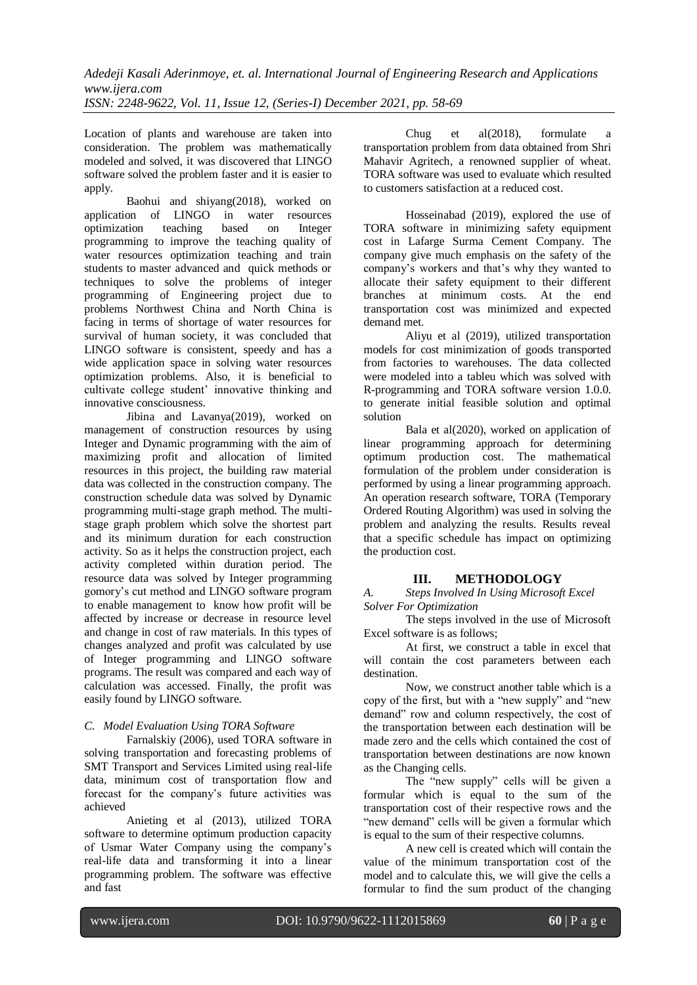Location of plants and warehouse are taken into consideration. The problem was mathematically modeled and solved, it was discovered that LINGO software solved the problem faster and it is easier to apply.

Baohui and shiyang(2018), worked on application of LINGO in water resources optimization teaching based on Integer programming to improve the teaching quality of water resources optimization teaching and train students to master advanced and quick methods or techniques to solve the problems of integer programming of Engineering project due to problems Northwest China and North China is facing in terms of shortage of water resources for survival of human society, it was concluded that LINGO software is consistent, speedy and has a wide application space in solving water resources optimization problems. Also, it is beneficial to cultivate college student' innovative thinking and innovative consciousness.

Jibina and Lavanya(2019), worked on management of construction resources by using Integer and Dynamic programming with the aim of maximizing profit and allocation of limited resources in this project, the building raw material data was collected in the construction company. The construction schedule data was solved by Dynamic programming multi-stage graph method. The multistage graph problem which solve the shortest part and its minimum duration for each construction activity. So as it helps the construction project, each activity completed within duration period. The resource data was solved by Integer programming gomory's cut method and LINGO software program to enable management to know how profit will be affected by increase or decrease in resource level and change in cost of raw materials. In this types of changes analyzed and profit was calculated by use of Integer programming and LINGO software programs. The result was compared and each way of calculation was accessed. Finally, the profit was easily found by LINGO software.

### *C. Model Evaluation Using TORA Software*

Farnalskiy (2006), used TORA software in solving transportation and forecasting problems of SMT Transport and Services Limited using real-life data, minimum cost of transportation flow and forecast for the company's future activities was achieved

Anieting et al (2013), utilized TORA software to determine optimum production capacity of Usmar Water Company using the company's real-life data and transforming it into a linear programming problem. The software was effective and fast

Chug et al(2018), formulate a transportation problem from data obtained from Shri Mahavir Agritech, a renowned supplier of wheat. TORA software was used to evaluate which resulted to customers satisfaction at a reduced cost.

Hosseinabad (2019), explored the use of TORA software in minimizing safety equipment cost in Lafarge Surma Cement Company. The company give much emphasis on the safety of the company's workers and that's why they wanted to allocate their safety equipment to their different branches at minimum costs. At the end transportation cost was minimized and expected demand met.

Aliyu et al (2019), utilized transportation models for cost minimization of goods transported from factories to warehouses. The data collected were modeled into a tableu which was solved with R-programming and TORA software version 1.0.0. to generate initial feasible solution and optimal solution

Bala et al(2020), worked on application of linear programming approach for determining optimum production cost. The mathematical formulation of the problem under consideration is performed by using a linear programming approach. An operation research software, TORA (Temporary Ordered Routing Algorithm) was used in solving the problem and analyzing the results. Results reveal that a specific schedule has impact on optimizing the production cost.

# **III. METHODOLOGY**

*A. Steps Involved In Using Microsoft Excel Solver For Optimization*

The steps involved in the use of Microsoft Excel software is as follows;

At first, we construct a table in excel that will contain the cost parameters between each destination.

Now, we construct another table which is a copy of the first, but with a "new supply" and "new demand" row and column respectively, the cost of the transportation between each destination will be made zero and the cells which contained the cost of transportation between destinations are now known as the Changing cells.

The "new supply" cells will be given a formular which is equal to the sum of the transportation cost of their respective rows and the "new demand" cells will be given a formular which is equal to the sum of their respective columns.

A new cell is created which will contain the value of the minimum transportation cost of the model and to calculate this, we will give the cells a formular to find the sum product of the changing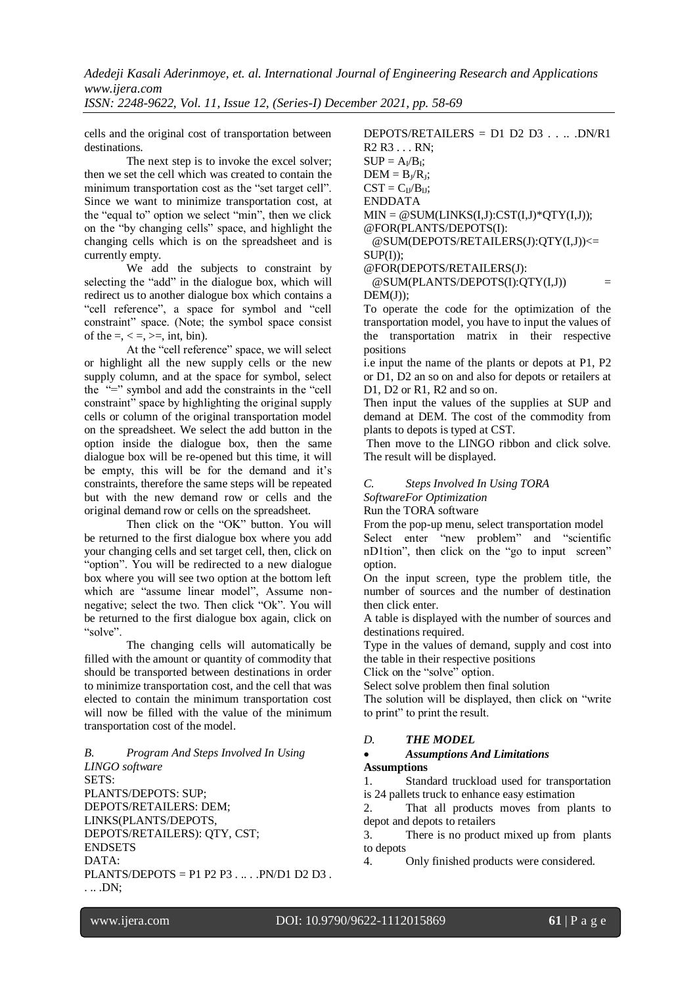*ISSN: 2248-9622, Vol. 11, Issue 12, (Series-I) December 2021, pp. 58-69*

cells and the original cost of transportation between destinations.

The next step is to invoke the excel solver; then we set the cell which was created to contain the minimum transportation cost as the "set target cell". Since we want to minimize transportation cost, at the "equal to" option we select "min", then we click on the "by changing cells" space, and highlight the changing cells which is on the spreadsheet and is currently empty.

We add the subjects to constraint by selecting the "add" in the dialogue box, which will redirect us to another dialogue box which contains a "cell reference", a space for symbol and "cell constraint" space. (Note; the symbol space consist of the  $=$ ,  $\lt$   $=$ ,  $\gt$  $=$ ,  $\text{int, bin}$ ).

At the "cell reference" space, we will select or highlight all the new supply cells or the new supply column, and at the space for symbol, select the "=" symbol and add the constraints in the "cell constraint" space by highlighting the original supply cells or column of the original transportation model on the spreadsheet. We select the add button in the option inside the dialogue box, then the same dialogue box will be re-opened but this time, it will be empty, this will be for the demand and it's constraints, therefore the same steps will be repeated but with the new demand row or cells and the original demand row or cells on the spreadsheet.

Then click on the "OK" button. You will be returned to the first dialogue box where you add your changing cells and set target cell, then, click on "option". You will be redirected to a new dialogue box where you will see two option at the bottom left which are "assume linear model", Assume nonnegative; select the two. Then click "Ok". You will be returned to the first dialogue box again, click on "solve".

The changing cells will automatically be filled with the amount or quantity of commodity that should be transported between destinations in order to minimize transportation cost, and the cell that was elected to contain the minimum transportation cost will now be filled with the value of the minimum transportation cost of the model.

*B. Program And Steps Involved In Using LINGO software* SETS: PLANTS/DEPOTS: SUP; DEPOTS/RETAILERS: DEM; LINKS(PLANTS/DEPOTS, DEPOTS/RETAILERS): QTY, CST; ENDSETS DATA: PLANTS/DEPOTS =  $P1 P2 P3$ ....PN/D1 D2 D3. . .. .DN;

 $DEPORTS/RETAILERS = D1 D2 D3 ... DNR1$ R2 R3 . . . RN;  $SUP = A_I/B_I;$  $DEM = B_J/R_J;$  $CST = C<sub>U</sub>/B<sub>U</sub>;$ ENDDATA  $MIN = @SUM(LINKS(I.J):CST(I.J)*OTY(I.J)):$ @FOR(PLANTS/DEPOTS(I): @SUM(DEPOTS/RETAILERS(J):QTY(I,J))<=

 $SUP(I))$ ;

@FOR(DEPOTS/RETAILERS(J):  $@SUM(PLANTS/DEPORTS(I):OTTY(I,J))$  $DEM(J)$ :

To operate the code for the optimization of the transportation model, you have to input the values of the transportation matrix in their respective positions

i.e input the name of the plants or depots at P1, P2 or D1, D2 an so on and also for depots or retailers at D1, D2 or R1, R2 and so on.

Then input the values of the supplies at SUP and demand at DEM. The cost of the commodity from plants to depots is typed at CST.

Then move to the LINGO ribbon and click solve. The result will be displayed.

## *C. Steps Involved In Using TORA*

*SoftwareFor Optimization*

Run the TORA software

From the pop-up menu, select transportation model

Select enter "new problem" and "scientific nD1tion", then click on the "go to input screen" option.

On the input screen, type the problem title, the number of sources and the number of destination then click enter.

A table is displayed with the number of sources and destinations required.

Type in the values of demand, supply and cost into the table in their respective positions

Click on the "solve" option.

Select solve problem then final solution

The solution will be displayed, then click on "write to print" to print the result.

## *D. THE MODEL*

## *Assumptions And Limitations*  **Assumptions**

1. Standard truckload used for transportation is 24 pallets truck to enhance easy estimation

2. That all products moves from plants to depot and depots to retailers

3. There is no product mixed up from plants to depots

4. Only finished products were considered.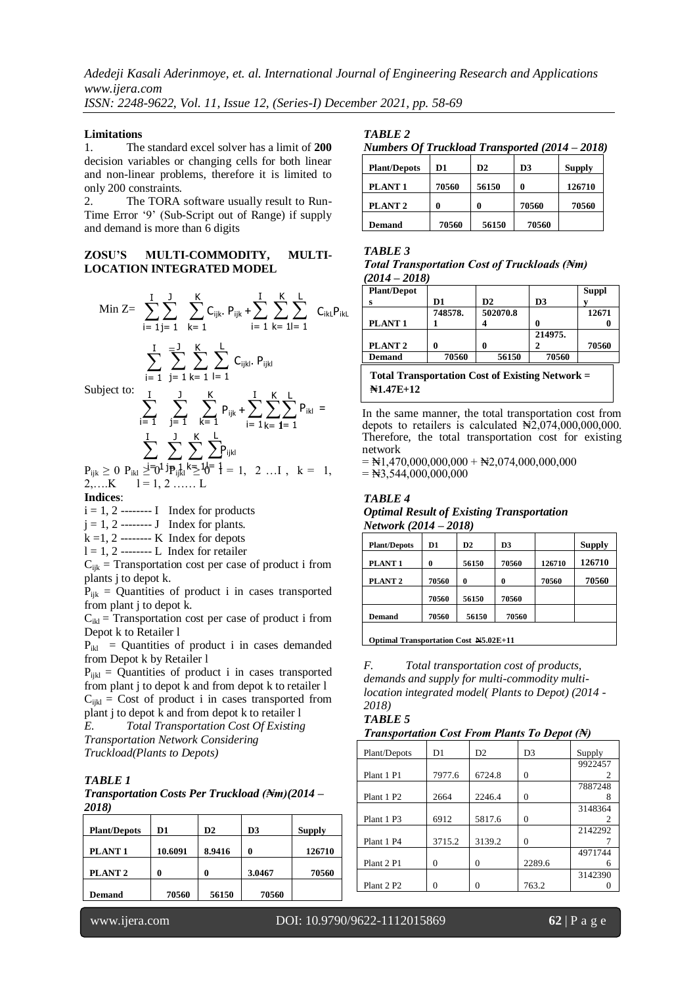*ISSN: 2248-9622, Vol. 11, Issue 12, (Series-I) December 2021, pp. 58-69*

#### **Limitations**

1. The standard excel solver has a limit of **200** decision variables or changing cells for both linear and non-linear problems, therefore it is limited to only 200 constraints.

2. The TORA software usually result to Run-Time Error '9' (Sub-Script out of Range) if supply and demand is more than 6 digits

#### **ZOSU'S MULTI-COMMODITY, MULTI-LOCATION INTEGRATED MODEL**

$$
\begin{aligned} \text{Min } Z &= \sum_{i \,=\, 1}^{I} \sum_{j \,=\, 1}^{J} \sum_{k \,=\, 1}^{K} C_{ijk}.\ \mathsf{P}_{ijk} + \sum_{i \,=\, 1}^{I} \sum_{k \,=\, 1}^{K} \sum_{l \,=\, 1}^{L} \ C_{ikL} \mathsf{P}_{ikL} \\ &\sum_{i \,=\, 1}^{I} \sum_{j \,=\, 1}^{J} \sum_{k \,=\, 1}^{K} \sum_{l \,=\, 1}^{L} \ C_{ijkl}.\ \mathsf{P}_{ijkl} \end{aligned}
$$

l= 1

Su

Subject to:  
\n
$$
\sum_{i=1}^{I} \sum_{j=1}^{J} \sum_{k=1}^{K} P_{ijk} + \sum_{i=1}^{I} \sum_{k=1}^{K} P_{ikl} =
$$
\n
$$
\sum_{i=1}^{I} \sum_{k=1}^{J} \sum_{j=1}^{K} \sum_{j=1}^{L} P_{ijkl}
$$
\n
$$
P_{ijk} \ge 0 \ P_{ikl} \ge 0 \frac{1}{P_{ikl}} \sum_{i=1}^{I} \sum_{k=1}^{K} \sum_{j=1}^{L} P_{ijkl}
$$

 $2,...K$   $l = 1, 2, ... L$ 

**Indices**:

 $i = 1, 2$  -------- I Index for products  $j = 1, 2$  -------- J Index for plants.

j= 1

i= 1

 $k = 1, 2$  -------- K Index for depots

 $l = 1, 2$  -------- L Index for retailer

 $C_{ijk}$  = Transportation cost per case of product i from plants j to depot k.

 $P_{ijk}$  = Quantities of product i in cases transported from plant j to depot k.

 $C_{ikl}$  = Transportation cost per case of product i from Depot k to Retailer l

 $P_{ikl}$  = Quantities of product i in cases demanded from Depot k by Retailer l

 $P_{ijkl}$  = Quantities of product i in cases transported from plant j to depot k and from depot k to retailer l  $C_{ijkl}$  = Cost of product i in cases transported from plant j to depot k and from depot k to retailer l

*E. Total Transportation Cost Of Existing Transportation Network Considering Truckload(Plants to Depots)*

### *TABLE 1*

*Transportation Costs Per Truckload (₦m)(2014 – 2018)*

| <b>Plant/Depots</b> | D1      | D2     | D <sub>3</sub> | <b>Supply</b> |
|---------------------|---------|--------|----------------|---------------|
| PLANT <sub>1</sub>  | 10.6091 | 8.9416 | 0              | 126710        |
| PLANT <sub>2</sub>  | 0       |        | 3.0467         | 70560         |
| <b>Demand</b>       | 70560   | 56150  | 70560          |               |

*Numbers Of Truckload Transported (2014 – 2018)*

| <b>Plant/Depots</b> | D1    | D2    | D3    | <b>Supply</b> |
|---------------------|-------|-------|-------|---------------|
| PLANT <sub>1</sub>  | 70560 | 56150 | 0     | 126710        |
| PLANT <sub>2</sub>  |       |       | 70560 | 70560         |
| <b>Demand</b>       | 70560 | 56150 | 70560 |               |

## *TABLE 3*

| <b>Total Transportation Cost of Truckloads (Nm)</b> |  |  |
|-----------------------------------------------------|--|--|
| $(2014 - 2018)$                                     |  |  |

| <b>Plant/Depot</b> |         |          |         | <b>Suppl</b> |
|--------------------|---------|----------|---------|--------------|
|                    | D1      | D2       | D3      |              |
|                    | 748578. | 502070.8 |         | 12671        |
| PLANT <sub>1</sub> |         |          |         |              |
|                    |         |          | 214975. |              |
| PLANT <sub>2</sub> |         |          |         | 70560        |
| <b>Demand</b>      | 70560   | 56150    | 70560   |              |

**Total Transportation Cost of Existing Network = ₦1.47E+12**

**N1.47E+12** In the same manner, the total transportation cost from depots to retailers is calculated  $\mathbb{N}2,074,000,000,000$ . Therefore, the total transportation cost for existing network

 $=$  N1,470,000,000,000 + N2,074,000,000,000  $=$  N3,544,000,000,000

### **N1.47E+12** *Optimal Result of Existing Transportation TABLE 4 Network (2014 – 2018)*

| <b>Plant/Depots</b> | D1    | D2    | D3    |        | <b>Supply</b> |
|---------------------|-------|-------|-------|--------|---------------|
| PLANT <sub>1</sub>  | 0     | 56150 | 70560 | 126710 | 126710        |
| PLANT <sub>2</sub>  | 70560 | 0     | 0     | 70560  | 70560         |
|                     | 70560 | 56150 | 70560 |        |               |
| <b>Demand</b>       | 70560 | 56150 | 70560 |        |               |
|                     |       |       |       |        |               |

**Optimal Transportation Cost N5.02E+11**

*F. Total transportation cost of products, demands and supply for multi-commodity multilocation integrated model( Plants to Depot) (2014 - 2018)*

#### *TABLE 5*

*Transportation Cost From Plants To Depot (₦)*

| Plant/Depots           | D1     | D2     | D3     | Supply  |
|------------------------|--------|--------|--------|---------|
|                        |        |        |        | 9922457 |
| Plant 1 P1             | 7977.6 | 6724.8 | 0      | 2       |
|                        |        |        |        | 7887248 |
| Plant 1 P2             | 2664   | 2246.4 | 0      |         |
|                        |        |        |        | 3148364 |
| Plant 1 P3             | 6912   | 5817.6 | 0      | 2       |
|                        |        |        |        | 2142292 |
| Plant 1 P4             | 3715.2 | 3139.2 | 0      |         |
|                        |        |        |        | 4971744 |
| Plant 2 P1             | 0      | 0      | 2289.6 | 6       |
|                        |        |        |        | 3142390 |
| Plant 2 P <sub>2</sub> | 0      | 0      | 763.2  |         |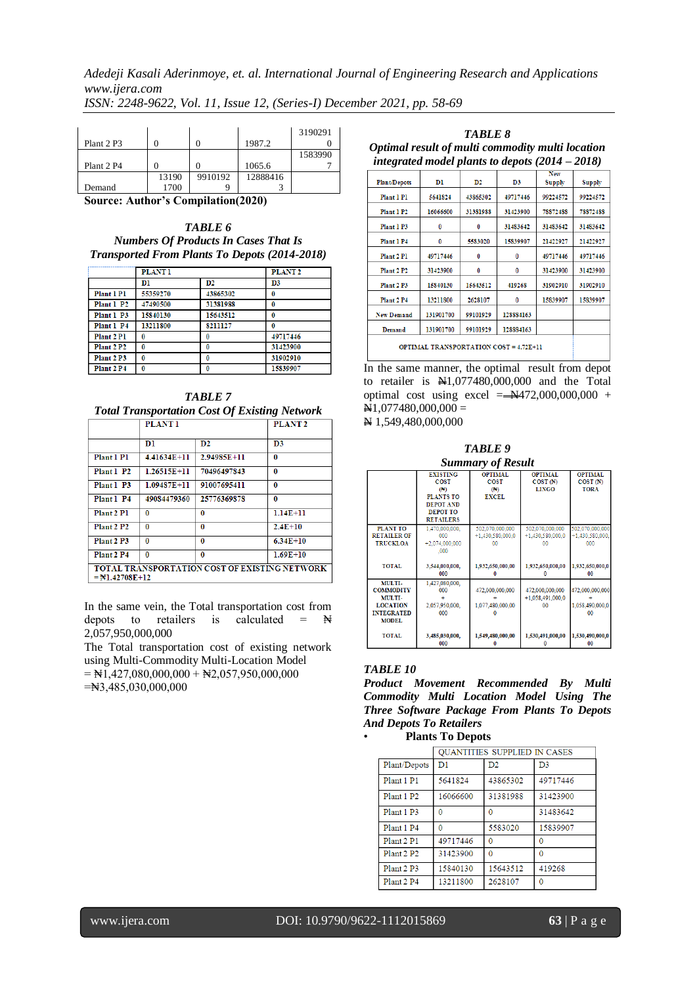|            |       |         |          | 3190291 |
|------------|-------|---------|----------|---------|
| Plant 2 P3 |       |         | 1987.2   |         |
|            |       |         |          | 1583990 |
| Plant 2 P4 |       |         | 1065.6   |         |
|            | 13190 | 9910192 | 12888416 |         |
| Demand     | 1700  |         |          |         |

**Source: Author's Compilation(2020)**

*TABLE 6 Numbers Of Products In Cases That Is Transported From Plants To Depots (2014-2018)*

|                        | <b>PLANT1</b> |          | PLANT <sub>2</sub> |
|------------------------|---------------|----------|--------------------|
|                        | Dl            | D2       | D3                 |
| Plant 1 P1             | 55359270      | 43865302 | 0                  |
| Plant 1 P2             | 47490500      | 31381988 | O                  |
| Plant 1 P3             | 15840130      | 15643512 | O                  |
| Plant 1 P4             | 13211800      | 8211127  |                    |
| Plant 2 P1             | n             |          | 49717446           |
| Plant 2 P <sub>2</sub> | n             | 0        | 31423900           |
| Plant 2 P3             | 0             | 0        | 31902910           |
| Plant 2 P4             | n             |          | 15839907           |

*TABLE 7 Total Transportation Cost Of Existing Network*

|                                                                           | <b>PLANT 1</b>  |               | PLANT <sub>2</sub> |  |
|---------------------------------------------------------------------------|-----------------|---------------|--------------------|--|
|                                                                           | Dl              | $\mathbf{D2}$ | D3                 |  |
| Plant 1 P1                                                                | 4.41634E+11     | 2.94985E+11   | $\Omega$           |  |
| Plant 1 P2                                                                | 1.26515E+11     | 70496497843   | $\Omega$           |  |
| Plant 1 P3                                                                | $1.09487E + 11$ | 91007695411   | 0                  |  |
| Plant 1 P4                                                                | 49084479360     | 25776369878   | 0                  |  |
| Plant 2 P1                                                                | 0               | 0             | $1.14E + 11$       |  |
| Plant 2 P <sub>2</sub>                                                    | 0               | 0             | $2.4E + 10$        |  |
| Plant 2 P3                                                                | $\bf{0}$        | $\bf{0}$      | $6.34E + 10$       |  |
| Plant 2 P4                                                                | $\bf{0}$        | $\bf{0}$      | $1.69E + 10$       |  |
| TOTAL TRANSPORTATION COST OF EXISTING NETWORK<br>$=\mathbb{N}1.42708E+12$ |                 |               |                    |  |

In the same vein, the Total transportation cost from depots to retailers is calculated =  $\mathbb{N}$ 2,057,950,000,000

The Total transportation cost of existing network using Multi-Commodity Multi-Location Model  $=$  N1,427,080,000,000 + N2,057,950,000,000 =₦3,485,030,000,000

*TABLE 8 Optimal result of multi commodity multi location integrated model plants to depots (2014 – 2018)*

| <i>envezi area moder pianus to aepois (2011</i> |           |          |                |                      | $-0101$  |
|-------------------------------------------------|-----------|----------|----------------|----------------------|----------|
| <b>Plant/Depots</b>                             | D1        | D2       | D <sub>3</sub> | <b>New</b><br>Supply | Supply   |
| Plant 1 P1                                      | 5641824   | 43865302 | 49717446       | 99224572             | 99224572 |
| Plant 1 P2                                      | 16066600  | 31381988 | 31423900       | 78872488             | 78872488 |
| Plant 1 P3                                      | 0         | 0        | 31483642       | 31483642             | 31483642 |
| Plant 1 P4                                      | 0         | 5583020  | 15839907       | 21422927             | 21422927 |
| Plant 2 Pl                                      | 49717446  | 0        | 0              | 49717446             | 49717446 |
| Plant 2 P <sub>2</sub>                          | 31423900  | 0        | 0              | 31423900             | 31423900 |
| Plant 2 P3                                      | 15840130  | 15643512 | 419268         | 31902910             | 31902910 |
| Plant 2 P4                                      | 13211800  | 2628107  | 0              | 15839907             | 15839907 |
| <b>New Demand</b>                               | 131901700 | 99101929 | 128884163      |                      |          |
| Demand                                          | 131901700 | 99101929 | 128884163      |                      |          |
| <b>OPTIMAL TRANSPORTATION COST = 4.72E+11</b>   |           |          |                |                      |          |

In the same manner, the optimal result from depot to retailer is  $\mathbb{H}1,077480,000,000$  and the Total optimal cost using excel  $=$  N472,000,000,000 +  $\overline{N}1,077480,000,000 =$ N 1,549,480,000,000

*TABLE 9 Summary of Result*

|                                                                                              |                                                                                                                      | Dunnuu y vi <b>n</b> csau                            |                                              |                                                     |
|----------------------------------------------------------------------------------------------|----------------------------------------------------------------------------------------------------------------------|------------------------------------------------------|----------------------------------------------|-----------------------------------------------------|
|                                                                                              | <b>EXISTING</b><br><b>COST</b><br>(1)<br><b>PLANTS TO</b><br><b>DEPOT AND</b><br><b>DEPOT TO</b><br><b>RETAILERS</b> | <b>OPTIMAL</b><br><b>COST</b><br>(1)<br><b>EXCEL</b> | <b>OPTIMAL</b><br>$COST$ (N)<br><b>LINGO</b> | <b>OPTIMAL</b><br>$COST(\mathbb{H})$<br><b>TORA</b> |
| PLANT TO<br><b>RETAILER OF</b><br><b>TRUCKLOA</b>                                            | 1.470.000.000.<br>000<br>$+2,074,000,000$<br>.000                                                                    | 502,070,000,000<br>$+1,430,580,000,0$<br>۵O          | 502,070,000,000<br>$+1,430,580,000,0$<br>o٥  | 502,070,000,000<br>$+1,430,580,000,$<br>000         |
| <b>TOTAL</b>                                                                                 | 3,544,000,000,<br>000                                                                                                | 1,932,650,000,00                                     | 1,932,650,000,00                             | 1,932,650,000,0<br>00                               |
| MULTI-<br><b>COMMODITY</b><br>MULTI-<br><b>LOCATION</b><br><b>INTEGRATED</b><br><b>MODEL</b> | 1,427,080,000,<br>000<br>2,057,950,000,<br>000                                                                       | 472,000,000,000<br>1,077,480,000,00                  | 472,000,000,000<br>$+1,058,491,000,0$<br>00  | 472,000,000,000<br>1,058,490,000,0<br>00            |
| TOTAL                                                                                        | 3,485,030,000,<br>000                                                                                                | 1,549,480,000,00                                     | 1,530,491,000,00                             | 1,530,490,000,0<br>00                               |

### *TABLE 10*

*Product Movement Recommended By Multi Commodity Multi Location Model Using The Three Software Package From Plants To Depots And Depots To Retailers*

| <b>Plants To Depots</b> |  |
|-------------------------|--|
|-------------------------|--|

|                        | <b>OUANTITIES SUPPLIED IN CASES</b> |          |                |  |
|------------------------|-------------------------------------|----------|----------------|--|
| Plant/Depots           | D1                                  | D2       | D <sub>3</sub> |  |
| Plant 1 P1             | 5641824                             | 43865302 | 49717446       |  |
| Plant 1 P <sub>2</sub> | 16066600                            | 31381988 | 31423900       |  |
| Plant 1 P3             | 0                                   | $\Omega$ | 31483642       |  |
| Plant 1 P4             | 0                                   | 5583020  | 15839907       |  |
| Plant 2 P1             | 49717446                            | 0        | 0              |  |
| Plant 2 P <sub>2</sub> | 31423900                            | 0        | 0              |  |
| Plant 2 P3             | 15840130                            | 15643512 | 419268         |  |
| Plant 2 P4             | 13211800                            | 2628107  | 0              |  |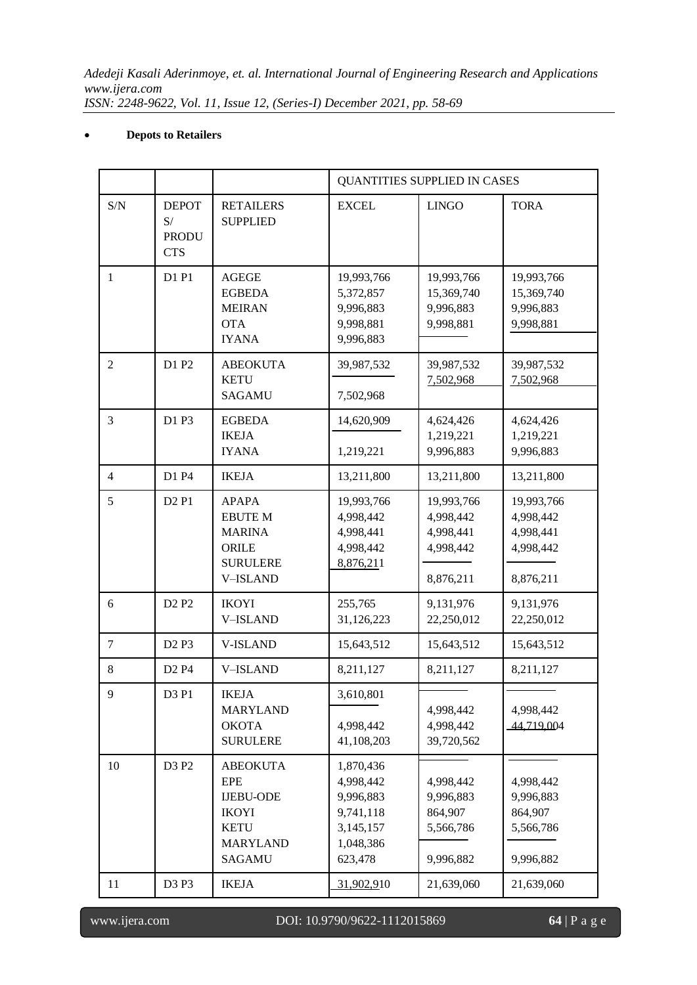# **Depots to Retailers**

|                |                                                  |                                                                                                                      | QUANTITIES SUPPLIED IN CASES                                                          |                                                                |                                                                |
|----------------|--------------------------------------------------|----------------------------------------------------------------------------------------------------------------------|---------------------------------------------------------------------------------------|----------------------------------------------------------------|----------------------------------------------------------------|
| S/N            | <b>DEPOT</b><br>S/<br><b>PRODU</b><br><b>CTS</b> | <b>RETAILERS</b><br><b>SUPPLIED</b>                                                                                  | <b>EXCEL</b>                                                                          | <b>LINGO</b>                                                   | <b>TORA</b>                                                    |
| $\mathbf{1}$   | D1 P1                                            | <b>AGEGE</b><br><b>EGBEDA</b><br><b>MEIRAN</b><br><b>OTA</b><br><b>IYANA</b>                                         | 19,993,766<br>5,372,857<br>9,996,883<br>9,998,881<br>9,996,883                        | 19,993,766<br>15,369,740<br>9,996,883<br>9,998,881             | 19,993,766<br>15,369,740<br>9,996,883<br>9,998,881             |
| 2              | D1 P2                                            | <b>ABEOKUTA</b><br><b>KETU</b><br><b>SAGAMU</b>                                                                      | 39,987,532<br>7,502,968                                                               | 39,987,532<br>7,502,968                                        | 39,987,532<br>7,502,968                                        |
| 3              | D1 P3                                            | <b>EGBEDA</b><br><b>IKEJA</b><br><b>IYANA</b>                                                                        | 14,620,909<br>1,219,221                                                               | 4,624,426<br>1,219,221<br>9,996,883                            | 4,624,426<br>1,219,221<br>9,996,883                            |
| $\overline{4}$ | D1 P4                                            | <b>IKEJA</b>                                                                                                         | 13,211,800                                                                            | 13,211,800                                                     | 13,211,800                                                     |
| 5              | D <sub>2</sub> P <sub>1</sub>                    | <b>APAPA</b><br><b>EBUTE M</b><br><b>MARINA</b><br>ORILE<br><b>SURULERE</b><br><b>V-ISLAND</b>                       | 19,993,766<br>4,998,442<br>4,998,441<br>4,998,442<br>8,876,211                        | 19,993,766<br>4,998,442<br>4,998,441<br>4,998,442<br>8,876,211 | 19,993,766<br>4,998,442<br>4,998,441<br>4,998,442<br>8,876,211 |
| 6              | D <sub>2</sub> P <sub>2</sub>                    | <b>IKOYI</b><br><b>V-ISLAND</b>                                                                                      | 255,765<br>31,126,223                                                                 | 9,131,976<br>22,250,012                                        | 9,131,976<br>22,250,012                                        |
| $\overline{7}$ | D <sub>2</sub> P <sub>3</sub>                    | <b>V-ISLAND</b>                                                                                                      | 15,643,512                                                                            | 15,643,512                                                     | 15,643,512                                                     |
| 8              | D <sub>2</sub> P <sub>4</sub>                    | <b>V-ISLAND</b>                                                                                                      | 8,211,127                                                                             | 8,211,127                                                      | 8,211,127                                                      |
| 9              | D3 P1                                            | <b>IKEJA</b><br><b>MARYLAND</b><br><b>OKOTA</b><br><b>SURULERE</b>                                                   | 3,610,801<br>4,998,442<br>41,108,203                                                  | 4,998,442<br>4,998,442<br>39,720,562                           | 4,998,442<br>44,719,004                                        |
| 10             | D3 P2                                            | <b>ABEOKUTA</b><br><b>EPE</b><br><b>IJEBU-ODE</b><br><b>IKOYI</b><br><b>KETU</b><br><b>MARYLAND</b><br><b>SAGAMU</b> | 1,870,436<br>4,998,442<br>9,996,883<br>9,741,118<br>3,145,157<br>1,048,386<br>623,478 | 4,998,442<br>9,996,883<br>864,907<br>5,566,786<br>9,996,882    | 4,998,442<br>9,996,883<br>864,907<br>5,566,786<br>9,996,882    |
| 11             | D3 P3                                            | <b>IKEJA</b>                                                                                                         | 31,902,910                                                                            | 21,639,060                                                     | 21,639,060                                                     |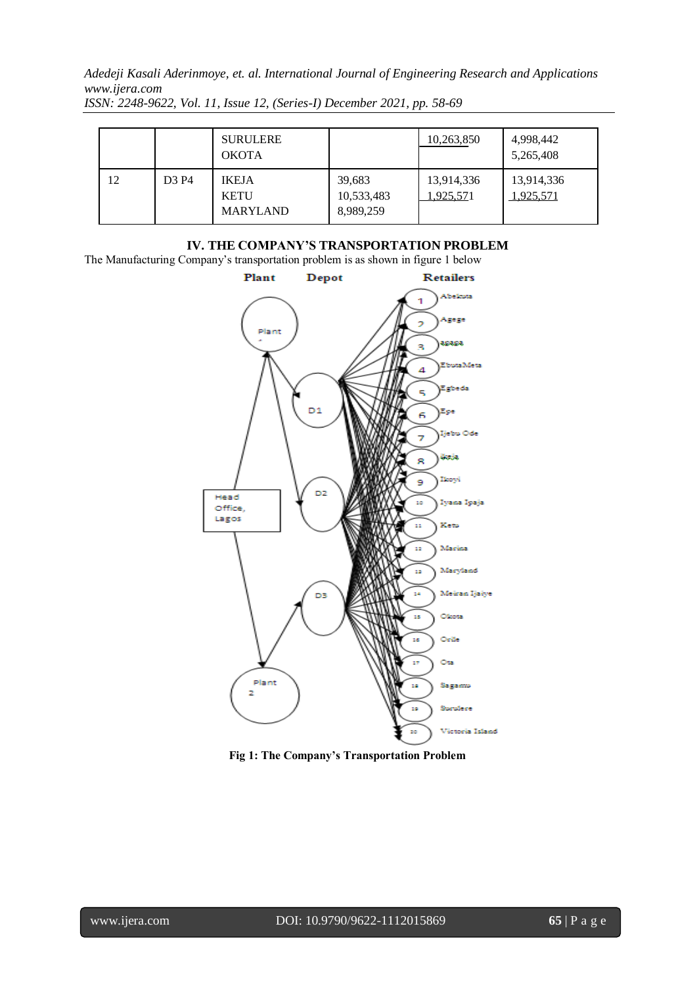|    |                               | <b>SURULERE</b><br><b>OKOTA</b>                |                                   | 10,263,850              | 4,998,442<br>5,265,408  |
|----|-------------------------------|------------------------------------------------|-----------------------------------|-------------------------|-------------------------|
| 12 | D <sub>3</sub> P <sub>4</sub> | <b>IKEJA</b><br><b>KETU</b><br><b>MARYLAND</b> | 39,683<br>10,533,483<br>8,989,259 | 13,914,336<br>1,925,571 | 13,914,336<br>1,925,571 |

*ISSN: 2248-9622, Vol. 11, Issue 12, (Series-I) December 2021, pp. 58-69*

# **IV. THE COMPANY'S TRANSPORTATION PROBLEM**

The Manufacturing Company's transportation problem is as shown in figure 1 below



**Fig 1: The Company's Transportation Problem**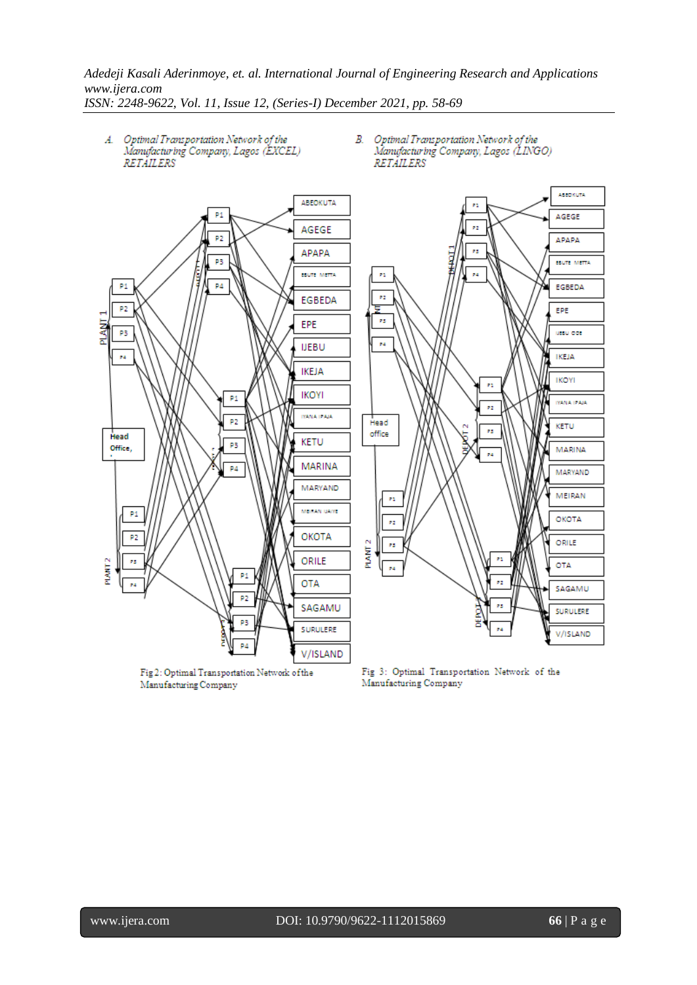

Fig 2: Optimal Transportation Network of the Manufacturing Company

Fig 3: Optimal Transportation Network of the Manufacturing Company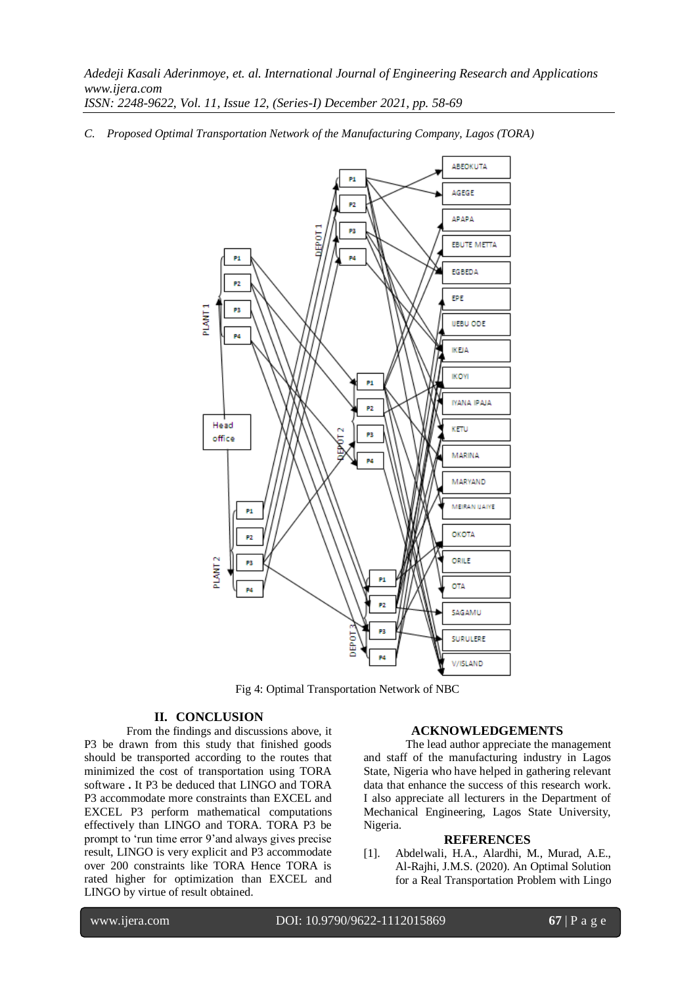*C. Proposed Optimal Transportation Network of the Manufacturing Company, Lagos (TORA)*



Fig 4: Optimal Transportation Network of NBC

# **II. CONCLUSION**

From the findings and discussions above, it P3 be drawn from this study that finished goods should be transported according to the routes that minimized the cost of transportation using TORA software **.** It P3 be deduced that LINGO and TORA P3 accommodate more constraints than EXCEL and EXCEL P3 perform mathematical computations effectively than LINGO and TORA. TORA P3 be prompt to 'run time error 9'and always gives precise result, LINGO is very explicit and P3 accommodate over 200 constraints like TORA Hence TORA is rated higher for optimization than EXCEL and LINGO by virtue of result obtained.

#### **ACKNOWLEDGEMENTS**

The lead author appreciate the management and staff of the manufacturing industry in Lagos State, Nigeria who have helped in gathering relevant data that enhance the success of this research work. I also appreciate all lecturers in the Department of Mechanical Engineering, Lagos State University, Nigeria.

#### **REFERENCES**

[1]. Abdelwali, H.A., Alardhi, M., Murad, A.E., Al-Rajhi, J.M.S. (2020). An Optimal Solution for a Real Transportation Problem with Lingo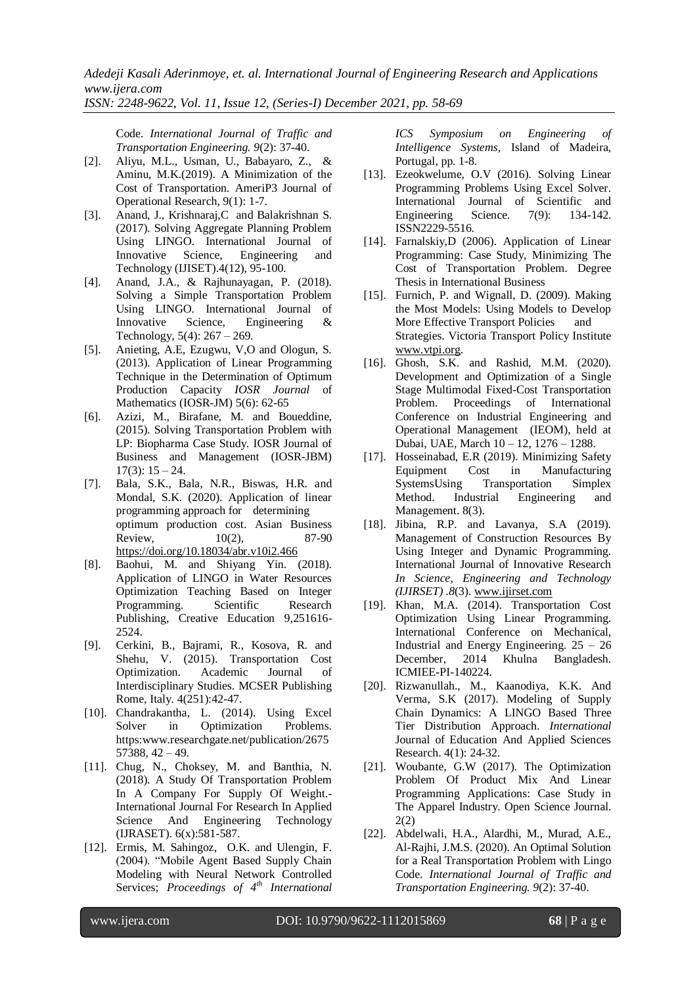*ISSN: 2248-9622, Vol. 11, Issue 12, (Series-I) December 2021, pp. 58-69*

Code. *International Journal of Traffic and Transportation Engineering. 9*(2): 37-40.

- [2]. Aliyu, M.L., Usman, U., Babayaro, Z., & Aminu, M.K.(2019). A Minimization of the Cost of Transportation. AmeriP3 Journal of Operational Research, 9(1): 1-7.
- [3]. Anand, J., Krishnaraj,C and Balakrishnan S. (2017). Solving Aggregate Planning Problem Using LINGO. International Journal of Innovative Science, Engineering and Technology (IJISET).4(12), 95-100.
- [4]. Anand, J.A., & Rajhunayagan, P. (2018). Solving a Simple Transportation Problem Using LINGO. International Journal of Innovative Science, Engineering & Technology, 5(4): 267 – 269.
- [5]. Anieting, A.E, Ezugwu, V,O and Ologun, S. (2013). Application of Linear Programming Technique in the Determination of Optimum Production Capacity *IOSR Journal* of Mathematics (IOSR-JM) 5(6): 62-65
- [6]. Azizi, M., Birafane, M. and Boueddine, (2015). Solving Transportation Problem with LP: Biopharma Case Study. IOSR Journal of Business and Management (IOSR-JBM)  $17(3): 15 - 24.$
- [7]. Bala, S.K., Bala, N.R., Biswas, H.R. and Mondal, S.K. (2020). Application of linear programming approach for determining optimum production cost. Asian Business Review,  $10(2)$ , 87-90 <https://doi.org/10.18034/abr.v10i2.466>
- [8]. Baohui, M. and Shiyang Yin. (2018). Application of LINGO in Water Resources Optimization Teaching Based on Integer Programming. Scientific Research Publishing, Creative Education 9,251616- 2524.
- [9]. Cerkini, B., Bajrami, R., Kosova, R. and Shehu, V. (2015). Transportation Cost Optimization. Academic Journal of Interdisciplinary Studies. MCSER Publishing Rome, Italy. 4(251):42-47.
- [10]. Chandrakantha, L. (2014). Using Excel Solver in Optimization Problems. https:www.researchgate.net/publication/2675 57388, 42 – 49.
- [11]. Chug, N., Choksey, M. and Banthia, N. (2018). A Study Of Transportation Problem In A Company For Supply Of Weight.- International Journal For Research In Applied Science And Engineering Technology (IJRASET). 6(x):581-587.
- [12]. Ermis, M. Sahingoz, O.K. and Ulengin, F. (2004). "Mobile Agent Based Supply Chain Modeling with Neural Network Controlled Services; *Proceedings of 4th International*

*ICS Symposium on Engineering of Intelligence Systems,* Island of Madeira, Portugal, pp. 1-8.

- [13]. Ezeokwelume, O.V (2016). Solving Linear Programming Problems Using Excel Solver. International Journal of Scientific and Engineering Science. 7(9): 134-142. ISSN2229-5516.
- [14]. Farnalskiy, D (2006). Application of Linear Programming: Case Study, Minimizing The Cost of Transportation Problem. Degree Thesis in International Business
- [15]. Furnich, P. and Wignall, D. (2009). Making the Most Models: Using Models to Develop More Effective Transport Policies and Strategies. Victoria Transport Policy Institute [www.vtpi.org.](http://www.vtpi.org/)
- [16]. Ghosh, S.K. and Rashid, M.M. (2020). Development and Optimization of a Single Stage Multimodal Fixed-Cost Transportation Problem. Proceedings of International Conference on Industrial Engineering and Operational Management (IEOM), held at Dubai, UAE, March 10 – 12, 1276 – 1288.
- [17]. Hosseinabad, E.R (2019). Minimizing Safety Equipment Cost in Manufacturing SystemsUsing Transportation Simplex Method. Industrial Engineering and Management. 8(3).
- [18]. Jibina, R.P. and Lavanya, S.A (2019). Management of Construction Resources By Using Integer and Dynamic Programming. International Journal of Innovative Research *In Science, Engineering and Technology (IJIRSET) .8*(3). [www.ijirset.com](http://www.ijirset.com/)
- [19]. Khan, M.A. (2014). Transportation Cost Optimization Using Linear Programming. International Conference on Mechanical, Industrial and Energy Engineering. 25 – 26 December, 2014 Khulna Bangladesh. ICMIEE-PI-140224.
- [20]. Rizwanullah., M., Kaanodiya, K.K. And Verma, S.K (2017). Modeling of Supply Chain Dynamics: A LINGO Based Three Tier Distribution Approach. *International*  Journal of Education And Applied Sciences Research. 4(1): 24-32.
- [21]. Woubante, G.W (2017). The Optimization Problem Of Product Mix And Linear Programming Applications: Case Study in The Apparel Industry. Open Science Journal. 2(2)
- [22]. Abdelwali, H.A., Alardhi, M., Murad, A.E., Al-Rajhi, J.M.S. (2020). An Optimal Solution for a Real Transportation Problem with Lingo Code. *International Journal of Traffic and Transportation Engineering. 9*(2): 37-40.